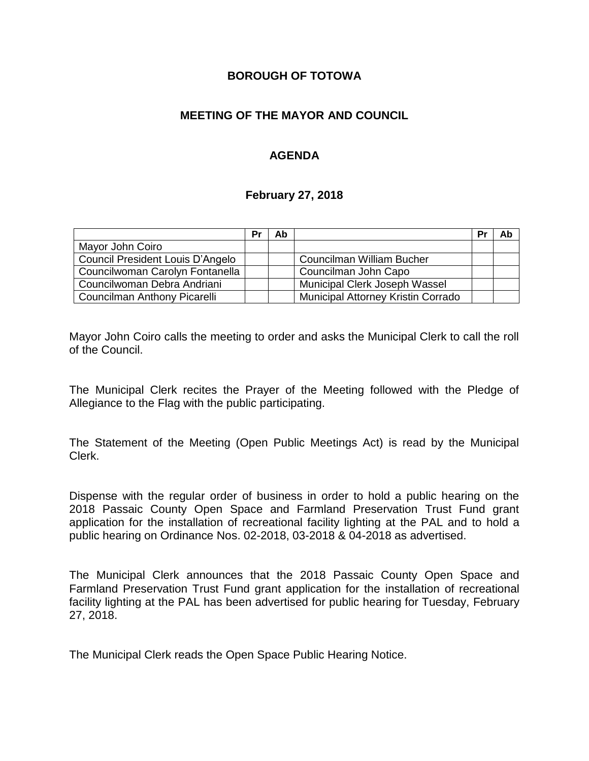### **BOROUGH OF TOTOWA**

## **MEETING OF THE MAYOR AND COUNCIL**

## **AGENDA**

#### **February 27, 2018**

|                                  | Pr | Ab |                                           | Pr | Ab |
|----------------------------------|----|----|-------------------------------------------|----|----|
| Mayor John Coiro                 |    |    |                                           |    |    |
| Council President Louis D'Angelo |    |    | Councilman William Bucher                 |    |    |
| Councilwoman Carolyn Fontanella  |    |    | Councilman John Capo                      |    |    |
| Councilwoman Debra Andriani      |    |    | Municipal Clerk Joseph Wassel             |    |    |
| Councilman Anthony Picarelli     |    |    | <b>Municipal Attorney Kristin Corrado</b> |    |    |

Mayor John Coiro calls the meeting to order and asks the Municipal Clerk to call the roll of the Council.

The Municipal Clerk recites the Prayer of the Meeting followed with the Pledge of Allegiance to the Flag with the public participating.

The Statement of the Meeting (Open Public Meetings Act) is read by the Municipal Clerk.

Dispense with the regular order of business in order to hold a public hearing on the 2018 Passaic County Open Space and Farmland Preservation Trust Fund grant application for the installation of recreational facility lighting at the PAL and to hold a public hearing on Ordinance Nos. 02-2018, 03-2018 & 04-2018 as advertised.

The Municipal Clerk announces that the 2018 Passaic County Open Space and Farmland Preservation Trust Fund grant application for the installation of recreational facility lighting at the PAL has been advertised for public hearing for Tuesday, February 27, 2018.

The Municipal Clerk reads the Open Space Public Hearing Notice.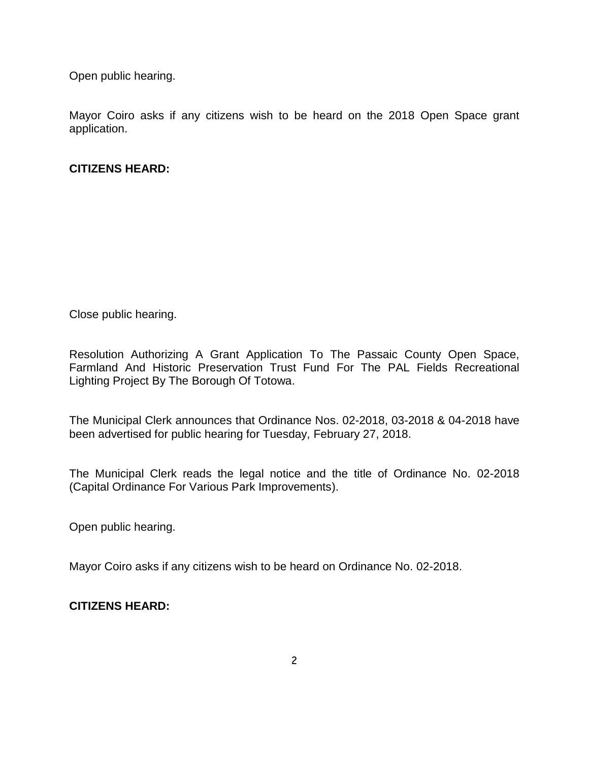Open public hearing.

Mayor Coiro asks if any citizens wish to be heard on the 2018 Open Space grant application.

## **CITIZENS HEARD:**

Close public hearing.

Resolution Authorizing A Grant Application To The Passaic County Open Space, Farmland And Historic Preservation Trust Fund For The PAL Fields Recreational Lighting Project By The Borough Of Totowa.

The Municipal Clerk announces that Ordinance Nos. 02-2018, 03-2018 & 04-2018 have been advertised for public hearing for Tuesday, February 27, 2018.

The Municipal Clerk reads the legal notice and the title of Ordinance No. 02-2018 (Capital Ordinance For Various Park Improvements).

Open public hearing.

Mayor Coiro asks if any citizens wish to be heard on Ordinance No. 02-2018.

**CITIZENS HEARD:**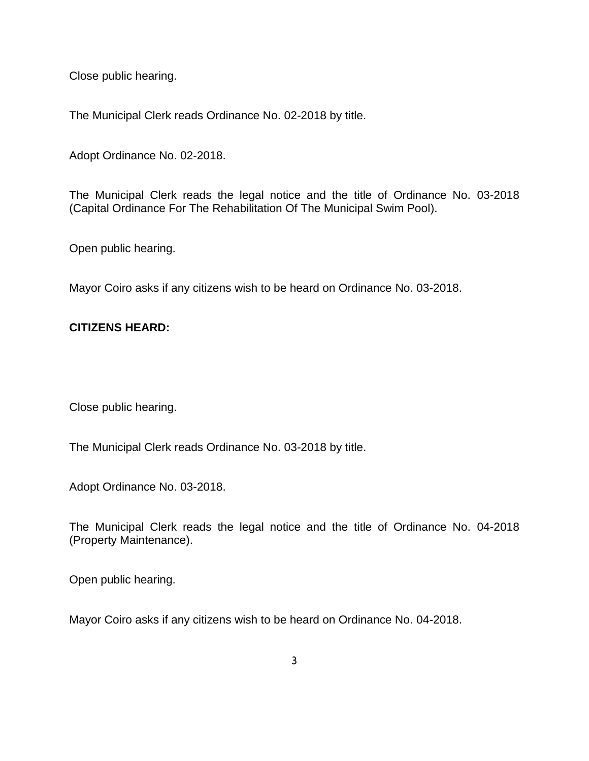Close public hearing.

The Municipal Clerk reads Ordinance No. 02-2018 by title.

Adopt Ordinance No. 02-2018.

The Municipal Clerk reads the legal notice and the title of Ordinance No. 03-2018 (Capital Ordinance For The Rehabilitation Of The Municipal Swim Pool).

Open public hearing.

Mayor Coiro asks if any citizens wish to be heard on Ordinance No. 03-2018.

## **CITIZENS HEARD:**

Close public hearing.

The Municipal Clerk reads Ordinance No. 03-2018 by title.

Adopt Ordinance No. 03-2018.

The Municipal Clerk reads the legal notice and the title of Ordinance No. 04-2018 (Property Maintenance).

Open public hearing.

Mayor Coiro asks if any citizens wish to be heard on Ordinance No. 04-2018.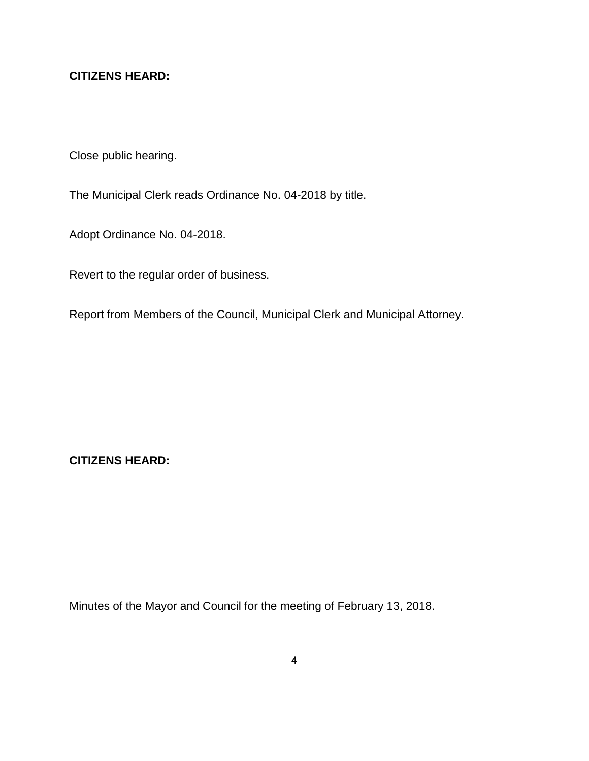# **CITIZENS HEARD:**

Close public hearing.

The Municipal Clerk reads Ordinance No. 04-2018 by title.

Adopt Ordinance No. 04-2018.

Revert to the regular order of business.

Report from Members of the Council, Municipal Clerk and Municipal Attorney.

**CITIZENS HEARD:**

Minutes of the Mayor and Council for the meeting of February 13, 2018.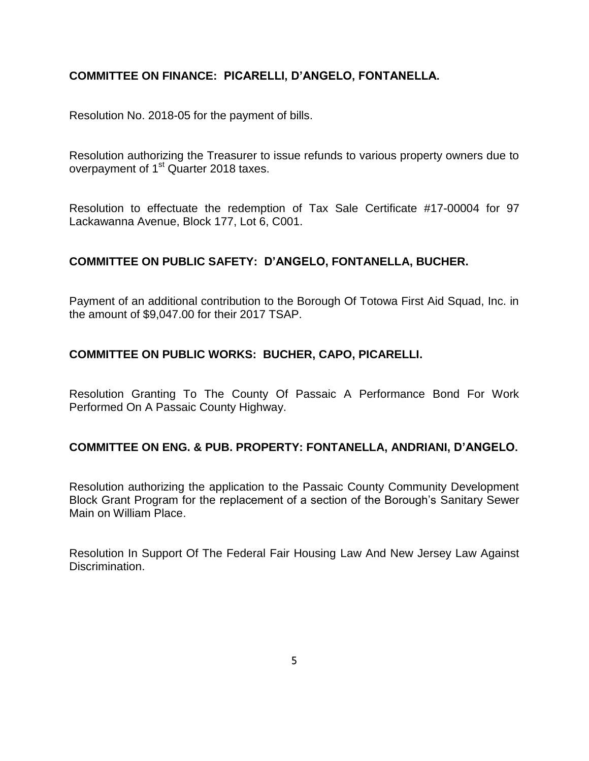## **COMMITTEE ON FINANCE: PICARELLI, D'ANGELO, FONTANELLA.**

Resolution No. 2018-05 for the payment of bills.

Resolution authorizing the Treasurer to issue refunds to various property owners due to overpayment of 1<sup>st</sup> Quarter 2018 taxes.

Resolution to effectuate the redemption of Tax Sale Certificate #17-00004 for 97 Lackawanna Avenue, Block 177, Lot 6, C001.

## **COMMITTEE ON PUBLIC SAFETY: D'ANGELO, FONTANELLA, BUCHER.**

Payment of an additional contribution to the Borough Of Totowa First Aid Squad, Inc. in the amount of \$9,047.00 for their 2017 TSAP.

## **COMMITTEE ON PUBLIC WORKS: BUCHER, CAPO, PICARELLI.**

Resolution Granting To The County Of Passaic A Performance Bond For Work Performed On A Passaic County Highway.

#### **COMMITTEE ON ENG. & PUB. PROPERTY: FONTANELLA, ANDRIANI, D'ANGELO.**

Resolution authorizing the application to the Passaic County Community Development Block Grant Program for the replacement of a section of the Borough's Sanitary Sewer Main on William Place.

Resolution In Support Of The Federal Fair Housing Law And New Jersey Law Against Discrimination.